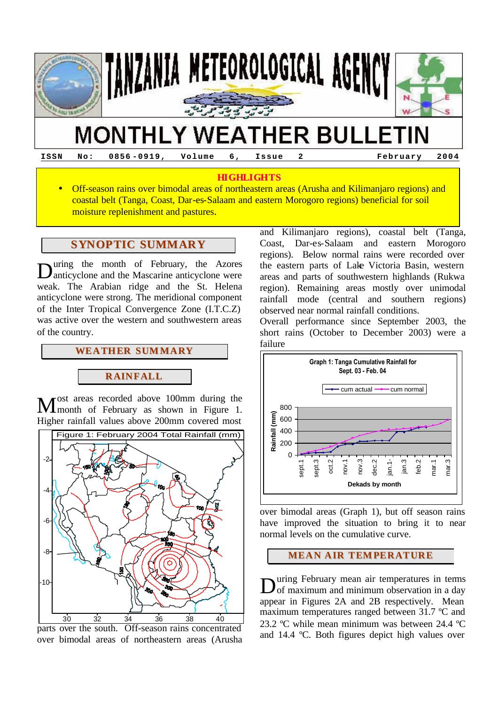

**ISSN No: 0856 -0919, Volume 6, Issue 2 February 2004**

### **HIGHLIGHTS**

• Off-season rains over bimodal areas of northeastern areas (Arusha and Kilimanjaro regions) and coastal belt (Tanga, Coast, Dar-es-Salaam and eastern Morogoro regions) beneficial for soil moisture replenishment and pastures*.*

## **SYNOPTIC SUMMARY**

uring the month of February, the Azores During the month of February, the Azores<br>
Danticyclone and the Mascarine anticyclone were weak. The Arabian ridge and the St. Helena anticyclone were strong. The meridional component of the Inter Tropical Convergence Zone (I.T.C.Z) was active over the western and southwestern areas of the country.

# **WEATHER SUMMARY**

## **RAINFALL**

ost areas recorded above 100mm during the **M**<sup>ost areas recorded above 100mm during the month of February as shown in Figure 1.</sup> Higher rainfall values above 200mm covered most



parts over the south. Off-season rains concentrated over bimodal areas of northeastern areas (Arusha

and Kilimanjaro regions), coastal belt (Tanga, Coast, Dar-es-Salaam and eastern Morogoro regions). Below normal rains were recorded over the eastern parts of Lake Victoria Basin, western areas and parts of southwestern highlands (Rukwa region). Remaining areas mostly over unimodal rainfall mode (central and southern regions) observed near normal rainfall conditions.

Overall performance since September 2003, the short rains (October to December 2003) were a failure



over bimodal areas (Graph 1), but off season rains have improved the situation to bring it to near normal levels on the cumulative curve.

## **MEAN AIR TEMPERATURE**

uring February mean air temperatures in terms During February mean air temperatures in terms<br>
of maximum and minimum observation in a day appear in Figures 2A and 2B respectively. Mean maximum temperatures ranged between 31.7 ºC and 23.2 ºC while mean minimum was between 24.4 ºC and 14.4 ºC. Both figures depict high values over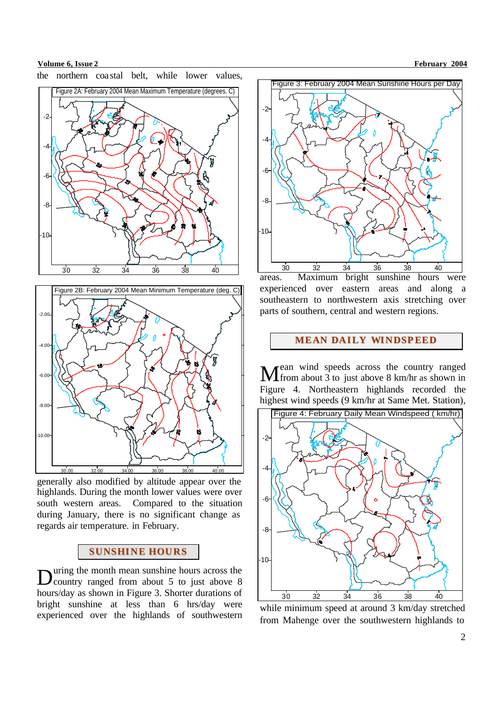**Volume 6, Issue 2 February 2004** 





generally also modified by altitude appear over the highlands. During the month lower values were over south western areas. Compared to the situation during January, there is no significant change as regards air temperature. in February.

## **SUNSHINE HOURS**

uring the month mean sunshine hours across the  $\mathbf{D}$ uring the month mean sunshine hours across the country ranged from about 5 to just above 8 hours/day as shown in Figure 3. Shorter durations of bright sunshine at less than 6 hrs/day were experienced over the highlands of southwestern



areas. Maximum bright sunshine hours were experienced over eastern areas and along a southeastern to northwestern axis stretching over parts of southern, central and western regions.

### **MEAN DAILY WINDSPEED**

ean wind speeds across the country ranged **M** ean wind speeds across the country ranged from about 3 to just above 8 km/hr as shown in Figure 4. Northeastern highlands recorded the highest wind speeds (9 km/hr at Same Met. Station),



while minimum speed at around 3 km/day stretched from Mahenge over the southwestern highlands to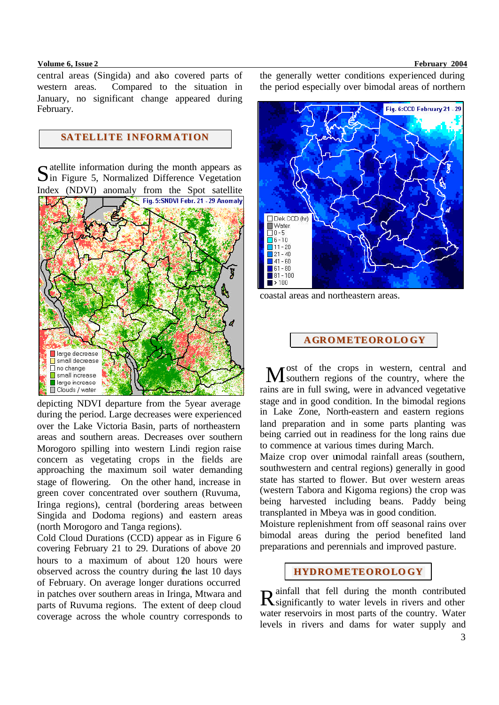#### **Volume 6, Issue 2 February 2004**

central areas (Singida) and also covered parts of western areas. Compared to the situation in January, no significant change appeared during February.

# **SATELLITE INFORMATION**

 $S$  atellite information during the month appears as<br>  $S$  in Figure 5, Normalized Difference Vegetation  $\sum$ in Figure 5, Normalized Difference Vegetation Index (NDVI) anomaly from the Spot satellite



depicting NDVI departure from the 5year average during the period. Large decreases were experienced over the Lake Victoria Basin, parts of northeastern areas and southern areas. Decreases over southern Morogoro spilling into western Lindi region raise concern as vegetating crops in the fields are approaching the maximum soil water demanding stage of flowering. On the other hand, increase in green cover concentrated over southern (Ruvuma, Iringa regions), central (bordering areas between Singida and Dodoma regions) and eastern areas (north Morogoro and Tanga regions).

Cold Cloud Durations (CCD) appear as in Figure 6 covering February 21 to 29. Durations of above 20 hours to a maximum of about 120 hours were observed across the country during the last 10 days of February. On average longer durations occurred in patches over southern areas in Iringa, Mtwara and parts of Ruvuma regions. The extent of deep cloud coverage across the whole country corresponds to the generally wetter conditions experienced during the period especially over bimodal areas of northern



coastal areas and northeastern areas.

### **AGROMETEOROLO GY**

ost of the crops in western, central and Most of the crops in western, central and southern regions of the country, where the rains are in full swing, were in advanced vegetative stage and in good condition. In the bimodal regions in Lake Zone, North-eastern and eastern regions land preparation and in some parts planting was being carried out in readiness for the long rains due to commence at various times during March.

Maize crop over unimodal rainfall areas (southern, southwestern and central regions) generally in good state has started to flower. But over western areas (western Tabora and Kigoma regions) the crop was being harvested including beans. Paddy being transplanted in Mbeya was in good condition.

Moisture replenishment from off seasonal rains over bimodal areas during the period benefited land preparations and perennials and improved pasture.

## **HYDROMETEOROLO GY**

ainfall that fell during the month contributed R ainfall that fell during the month contributed<br>R significantly to water levels in rivers and other water reservoirs in most parts of the country. Water levels in rivers and dams for water supply and